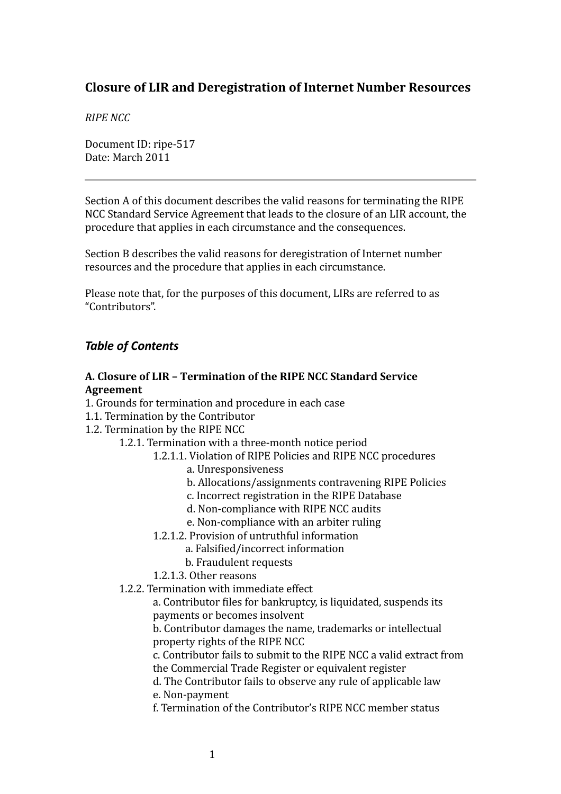# **Closure of LIR and Deregistration of Internet Number Resources**

#### *RIPE NCC*

Document ID: ripe‐517 Date: March 2011

Section A of this document describes the valid reasons for terminating the RIPE NCC Standard Service Agreement that leads to the closure of an LIR account, the procedure that applies in each circumstance and the consequences.

Section B describes the valid reasons for deregistration of Internet number resources and the procedure that applies in each circumstance.

Please note that, for the purposes of this document, LIRs are referred to as "Contributors".

# *Table of Contents*

### **A. Closure of LIR – Termination of the RIPE NCC Standard Service Agreement**

- 1. Grounds for [termination](#page-2-0) and procedure in each case
- <span id="page-0-3"></span>1.1. [Termination](#page-0-3) by the Contributor
- <span id="page-0-2"></span>1.2. [Termination](#page-0-2) by the RIPE NCC
	- 1.2.1. Termination with a [three‐month](#page-0-1) notice period
		- 1.2.1.1. Violation of RIPE Policies and RIPE NCC procedures
			- a. Unresponsiveness
			- b. Allocations/assignments contravening RIPE Policies
			- c. Incorrect registration in the RIPE Database
			- d. Non‐compliance with RIPE NCC audits
			- e. Non‐compliance with an arbiter ruling
		- 1.2.1.2. Provision of untruthful information
			- a. Falsified/incorrect information
			- b. Fraudulent requests
		- 1.2.1.3. Other reasons
	- 1.2.2. [Termination](#page-0-0) with immediate effect

<span id="page-0-1"></span><span id="page-0-0"></span>a. Contributor files for bankruptcy, is liquidated, suspends its payments or becomes insolvent

b. Contributor damages the name, trademarks or intellectual property rights of the RIPE NCC

c. Contributor fails to submit to the RIPE NCC a valid extract from the Commercial Trade Register or equivalent register

d. The Contributor fails to observe any rule of applicable law e. Non‐payment

f. Termination of the Contributor's RIPE NCC member status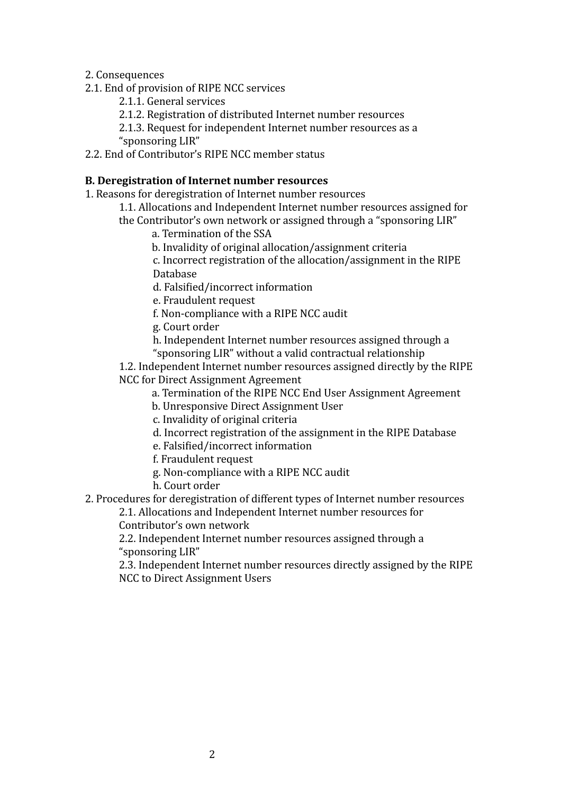2. [Consequences](#page-9-0)

- 2.1. End of [provision](#page-1-9) of RIPE NCC services
	- 2.1.1. General [services](#page-1-8)
	- 2.1.2. [Registration](#page-1-7) of distributed Internet number resources

<span id="page-1-9"></span><span id="page-1-8"></span><span id="page-1-7"></span><span id="page-1-6"></span>2.1.3. Request for [independent](#page-1-6) Internet number resources as a ["sponsoring](#page-1-6) LIR"

2.2. End of [Contributor's](#page-1-5) RIPE NCC member status

# **B. Deregistration of Internet number resources**

- 1. Reasons for [deregistration](#page-10-0) of Internet number resources
	- 1.1. Allocations and [Independent](#page-1-4) Internet number resources assigned for the [Contributor's](#page-1-4) own network or assigned through a "sponsoring LIR"
		- a. Termination of the SSA
		- b. Invalidity of original allocation/assignment criteria

<span id="page-1-5"></span><span id="page-1-4"></span>c. Incorrect registration of the allocation/assignment in the RIPE Database

d. Falsified/incorrect information

e. Fraudulent request

f. Non‐compliance with a RIPE NCC audit

g. Court order

h. Independent Internet number resources assigned through a "sponsoring LIR" without a valid contractual relationship

1.2. [Independent](#page-1-3) Internet number resources assigned directly by the RIPE NCC for Direct [Assignment](#page-1-3) Agreement

- <span id="page-1-3"></span>a. Termination of the RIPE NCC End User Assignment Agreement
- b. Unresponsive Direct Assignment User
- c. Invalidity of original criteria
- d. Incorrect registration of the assignment in the RIPE Database

e. Falsified/incorrect information

f. Fraudulent request

g. Non‐compliance with a RIPE NCC audit

- <span id="page-1-2"></span><span id="page-1-1"></span><span id="page-1-0"></span>h. Court order
- 2. Procedures for [deregistration](#page-15-0) of different types of Internet number resources

2.1. Allocations and [Independent](#page-1-2) Internet number resources for [Contributor's](#page-1-2) own network

2.2. [Independent](#page-1-1) Internet number resources assigned through a ["sponsoring](#page-1-1) LIR"

2.3. [Independent](#page-1-0) Internet number resources directly assigned by the RIPE NCC to Direct [Assignment](#page-1-0) Users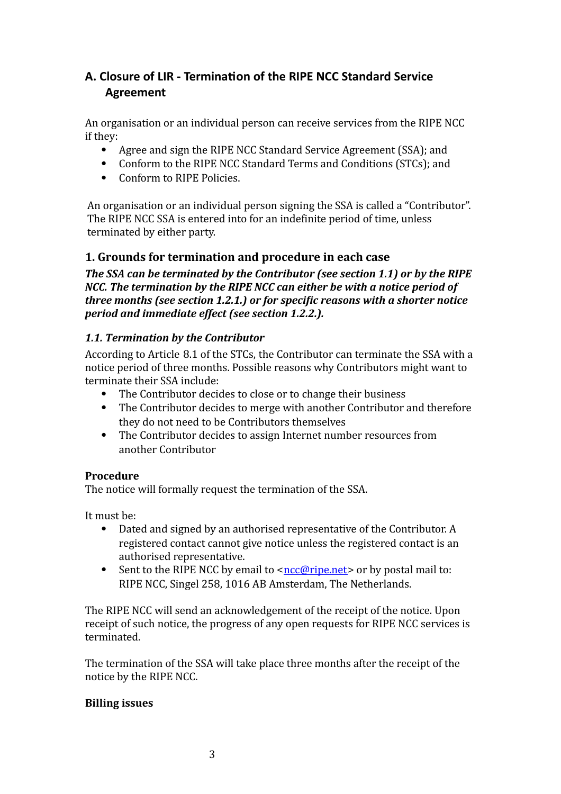# **A. Closure of LIR ‐ Termina>on of the RIPE NCC Standard Service Agreement**

An organisation or an individual person can receive services from the RIPE NCC if they:

- Agree and sign the RIPE NCC Standard Service Agreement (SSA); and
- Conform to the RIPE NCC Standard Terms and Conditions (STCs); and
- Conform to RIPE Policies.

An organisation or an individual person signing the SSA is called a "Contributor". The RIPE NCC SSA is entered into for an indefinite period of time, unless terminated by either party.

# **1. Grounds for termination and procedure in each case**

*The SSA can be terminated by the Contributor (see section 1.1) or by the RIPE NCC. The termination by the RIPE NCC can either be with a notice period of three months* (*see section 1.2.1.*) *or for specific reasons with a shorter notice period and immediate effect (see section 1.2.2.).*

# <span id="page-2-0"></span>*1.1. Termination by the Contributor*

According to Article 8.1 of the STCs, the Contributor can terminate the SSA with a notice period of three months. Possible reasons why Contributors might want to terminate their SSA include:

- The Contributor decides to close or to change their business
- The Contributor decides to merge with another Contributor and therefore they do not need to be Contributors themselves
- The Contributor decides to assign Internet number resources from another Contributor

### **Procedure**

The notice will formally request the termination of the SSA.

It must be:

- Dated and signed by an authorised representative of the Contributor. A registered contact cannot give notice unless the registered contact is an authorised representative.
- Sent to the RIPE NCC by email to  $\leq n \leq \sqrt{\frac{m}{n}}$  or by postal mail to: RIPE NCC, Singel 258, 1016 AB Amsterdam, The Netherlands.

The RIPE NCC will send an acknowledgement of the receipt of the notice. Upon receipt of such notice, the progress of any open requests for RIPE NCC services is terminated.

The termination of the SSA will take place three months after the receipt of the notice by the RIPE NCC.

### **Billing issues**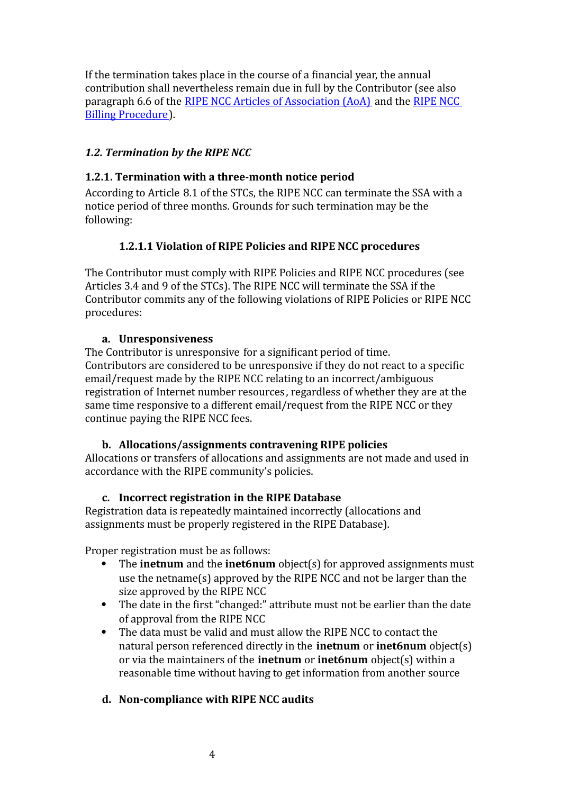If the termination takes place in the course of a financial year, the annual contribution shall nevertheless remain due in full by the Contributor (see also paragraph 6.6 of the RIPE NCC Articles of [Association](https://www.ripe.net/ripe/docs/articles-association%20) (AoA) and the [RIPE](http://www.ripe.net/lir-services/billing/procedure%20) NCC Billing [Procedure\)](http://www.ripe.net/lir-services/billing/procedure%20).

# *1.2. Termination by the RIPE NCC*

### **1.2.1. Termination** with a three-month notice period

According to Article 8.1 of the STCs, the RIPE NCC can terminate the SSA with a notice period of three months. Grounds for such termination may be the following:

# **1.2.1.1 Violation of RIPE Policies and RIPE NCC procedures**

The Contributor must comply with RIPE Policies and RIPE NCC procedures (see Articles 3.4 and 9 of the STCs). The RIPE NCC will terminate the SSA if the Contributor commits any of the following violations of RIPE Policies or RIPE NCC procedures:

### **a. Unresponsiveness**

The Contributor is unresponsive for a significant period of time. Contributors are considered to be unresponsive if they do not react to a speciiic email/request made by the RIPE NCC relating to an incorrect/ambiguous registration of Internet number resources , regardless of whether they are at the same time responsive to a different email/request from the RIPE NCC or they continue paying the RIPE NCC fees.

### **b. Allocations/assignments contravening RIPE policies**

Allocations or transfers of allocations and assignments are not made and used in accordance with the RIPE community's policies.

### **c. Incorrect registration in the RIPE Database**

Registration data is repeatedly maintained incorrectly (allocations and assignments must be properly registered in the RIPE Database).

Proper registration must be as follows:

- The **inetnum** and the **inet6num** object(s) for approved assignments must use the netname(s) approved by the RIPE NCC and not be larger than the size approved by the RIPE NCC
- The date in the first "changed:" attribute must not be earlier than the date of approval from the RIPE NCC
- The data must be valid and must allow the RIPE NCC to contact the natural person referenced directly in the **inetnum** or **inet6num** object(s) or via the maintainers of the **inetnum** or **inet6num** object(s) within a reasonable time without having to get information from another source

### **d. Noncompliance with RIPE NCC audits**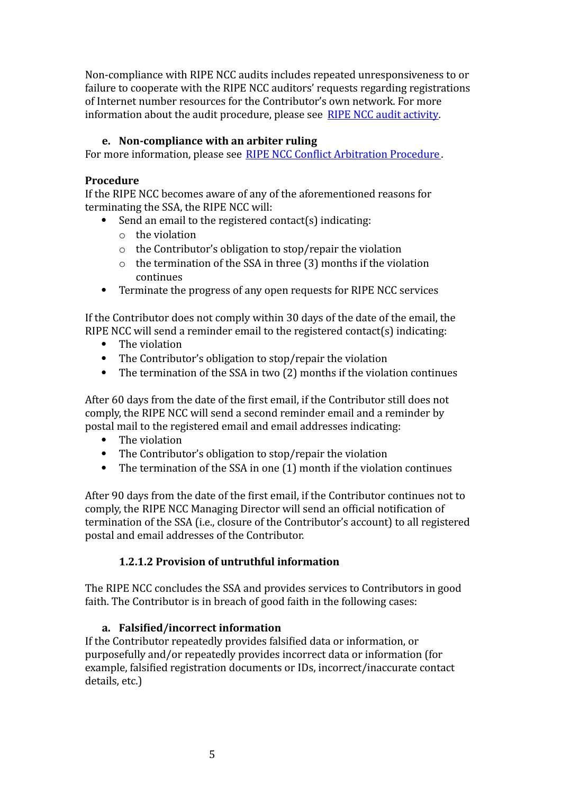Non‐compliance with RIPE NCC audits includes repeated unresponsiveness to or failure to cooperate with the RIPE NCC auditors' requests regarding registrations of Internet number resources for the Contributor's own network. For more information about the audit procedure, please see RIPE NCC audit [activity.](http://www.ripe.net/ripe/docs/audit)

### **e. Noncompliance with an arbiter ruling**

For more information, please see RIPE NCC Conflict [Arbitration](http://www.ripe.net/ripe/docs/arbitration) Procedure.

# **Procedure**

If the RIPE NCC becomes aware of any of the aforementioned reasons for terminating the SSA, the RIPE NCC will:

- Send an email to the registered contact(s) indicating:
	- o the violation
	- o the Contributor's obligation to stop/repair the violation
	- o the termination of the SSA in three (3) months if the violation continues
- Terminate the progress of any open requests for RIPE NCC services

If the Contributor does not comply within 30 days of the date of the email, the RIPE NCC will send a reminder email to the registered contact(s) indicating:

- The violation
- The Contributor's obligation to stop/repair the violation
- The termination of the SSA in two (2) months if the violation continues

After 60 days from the date of the first email, if the Contributor still does not comply, the RIPE NCC will send a second reminder email and a reminder by postal mail to the registered email and email addresses indicating:

- The violation
- The Contributor's obligation to stop/repair the violation
- The termination of the SSA in one (1) month if the violation continues

After 90 days from the date of the iirst email, if the Contributor continues not to comply, the RIPE NCC Managing Director will send an official notification of termination of the SSA (i.e., closure of the Contributor's account) to all registered postal and email addresses of the Contributor.

### **1.2.1.2 Provision of untruthful information**

The RIPE NCC concludes the SSA and provides services to Contributors in good faith. The Contributor is in breach of good faith in the following cases:

### **a.** Falsified/incorrect information

If the Contributor repeatedly provides falsiiied data or information, or purposefully and/or repeatedly provides incorrect data or information (for example, falsified registration documents or IDs, incorrect/inaccurate contact details, etc.)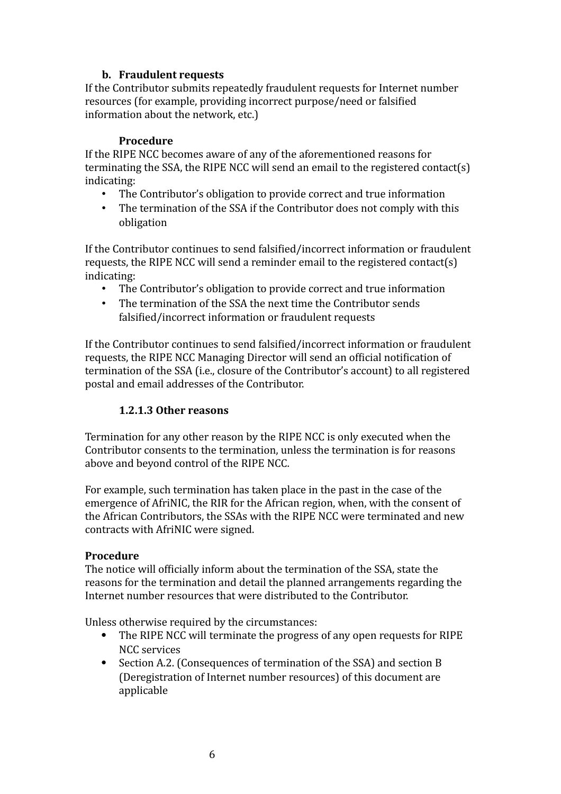### **b. Fraudulent requests**

If the Contributor submits repeatedly fraudulent requests for Internet number resources (for example, providing incorrect purpose/need or falsified information about the network, etc.)

#### **Procedure**

If the RIPE NCC becomes aware of any of the aforementioned reasons for terminating the SSA, the RIPE NCC will send an email to the registered contact(s) indicating:

- The Contributor's obligation to provide correct and true information
- The termination of the SSA if the Contributor does not comply with this obligation

If the Contributor continues to send falsiiied/incorrect information or fraudulent requests, the RIPE NCC will send a reminder email to the registered contact(s) indicating:

- The Contributor's obligation to provide correct and true information
- The termination of the SSA the next time the Contributor sends falsified/incorrect information or fraudulent requests

If the Contributor continues to send falsiiied/incorrect information or fraudulent requests, the RIPE NCC Managing Director will send an official notification of termination of the SSA (i.e., closure of the Contributor's account) to all registered postal and email addresses of the Contributor.

# **1.2.1.3 Other reasons**

Termination for any other reason by the RIPE NCC is only executed when the Contributor consents to the termination, unless the termination is for reasons above and beyond control of the RIPE NCC.

For example, such termination has taken place in the past in the case of the emergence of AfriNIC, the RIR for the African region, when, with the consent of the African Contributors, the SSAs with the RIPE NCC were terminated and new contracts with AfriNIC were signed.

### **Procedure**

The notice will officially inform about the termination of the SSA, state the reasons for the termination and detail the planned arrangements regarding the Internet number resources that were distributed to the Contributor.

Unless otherwise required by the circumstances:

- The RIPE NCC will terminate the progress of any open requests for RIPE NCC services
- Section A.2. (Consequences of termination of the SSA) and section B (Deregistration of Internet number resources) of this document are applicable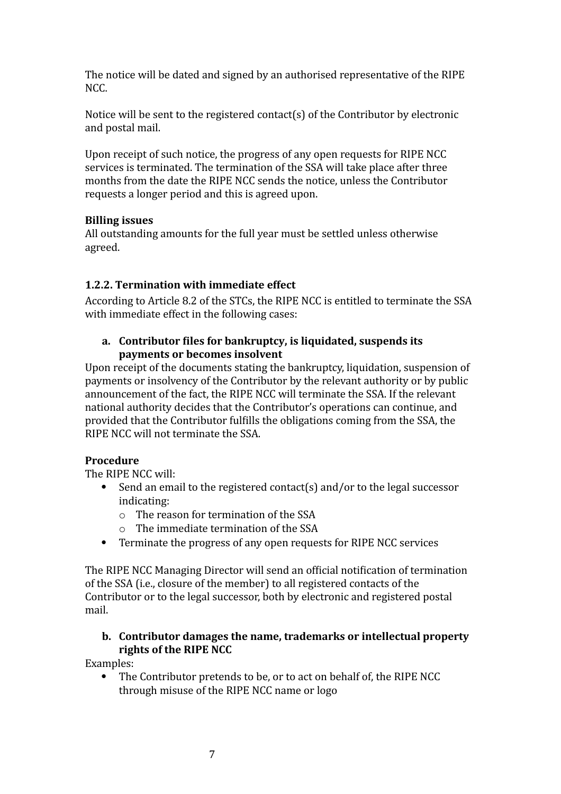The notice will be dated and signed by an authorised representative of the RIPE NCC.

Notice will be sent to the registered contact(s) of the Contributor by electronic and postal mail.

Upon receipt of such notice, the progress of any open requests for RIPE NCC services is terminated. The termination of the SSA will take place after three months from the date the RIPE NCC sends the notice, unless the Contributor requests a longer period and this is agreed upon.

# **Billing issues**

All outstanding amounts for the full year must be settled unless otherwise agreed.

# **1.2.2. Termination with immediate effect**

According to Article 8.2 of the STCs, the RIPE NCC is entitled to terminate the SSA with immediate effect in the following cases:

### **a. Contributor Xiles for bankruptcy, is liquidated, suspends its payments or becomes insolvent**

Upon receipt of the documents stating the bankruptcy, liquidation, suspension of payments or insolvency of the Contributor by the relevant authority or by public announcement of the fact, the RIPE NCC will terminate the SSA. If the relevant national authority decides that the Contributor's operations can continue, and provided that the Contributor fuliills the obligations coming from the SSA, the RIPE NCC will not terminate the SSA.

# **Procedure**

The RIPE NCC will:

- Send an email to the registered contact(s) and/or to the legal successor indicating:
	- o The reason for termination of the SSA
	- o The immediate termination of the SSA
- Terminate the progress of any open requests for RIPE NCC services

The RIPE NCC Managing Director will send an official notification of termination of the SSA (i.e., closure of the member) to all registered contacts of the Contributor or to the legal successor, both by electronic and registered postal mail.

# **b. Contributor damages the name, trademarks or intellectual property rights of the RIPE NCC**

Examples:

 The Contributor pretends to be, or to act on behalf of, the RIPE NCC through misuse of the RIPE NCC name or logo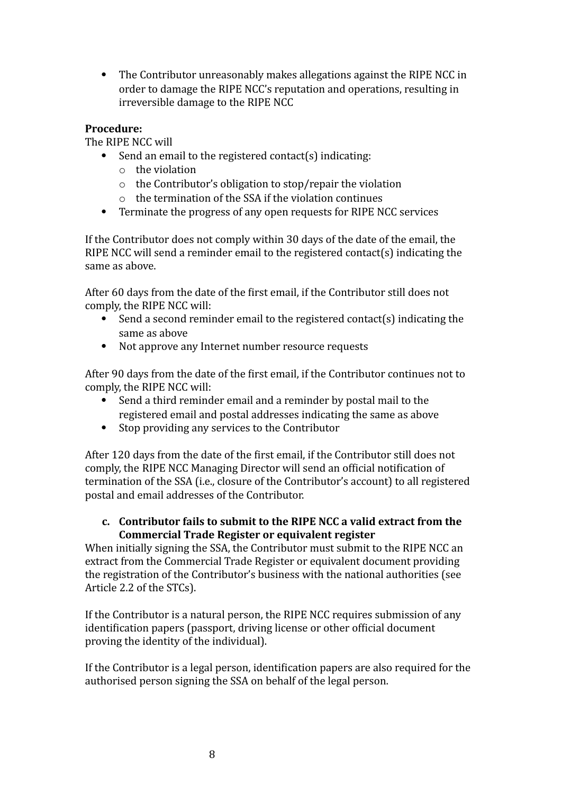The Contributor unreasonably makes allegations against the RIPE NCC in order to damage the RIPE NCC's reputation and operations, resulting in irreversible damage to the RIPE NCC

# **Procedure:**

The RIPE NCC will

- Send an email to the registered contact(s) indicating:
	- o the violation
	- o the Contributor's obligation to stop/repair the violation
	- o the termination of the SSA if the violation continues
- Terminate the progress of any open requests for RIPE NCC services

If the Contributor does not comply within 30 days of the date of the email, the RIPE NCC will send a reminder email to the registered contact(s) indicating the same as above.

After 60 days from the date of the first email, if the Contributor still does not comply, the RIPE NCC will:

- Send a second reminder email to the registered contact(s) indicating the same as above
- Not approve any Internet number resource requests

After 90 days from the date of the first email, if the Contributor continues not to comply, the RIPE NCC will:

- Send a third reminder email and a reminder by postal mail to the registered email and postal addresses indicating the same as above
- Stop providing any services to the Contributor

After 120 days from the date of the first email, if the Contributor still does not comply, the RIPE NCC Managing Director will send an official notification of termination of the SSA (i.e., closure of the Contributor's account) to all registered postal and email addresses of the Contributor.

# **c. Contributor fails to submit to the RIPE NCC a valid extract from the Commercial Trade Register or equivalent register**

When initially signing the SSA, the Contributor must submit to the RIPE NCC an extract from the Commercial Trade Register or equivalent document providing the registration of the Contributor's business with the national authorities (see Article 2.2 of the STCs).

If the Contributor is a natural person, the RIPE NCC requires submission of any identification papers (passport, driving license or other official document proving the identity of the individual).

If the Contributor is a legal person, identification papers are also required for the authorised person signing the SSA on behalf of the legal person.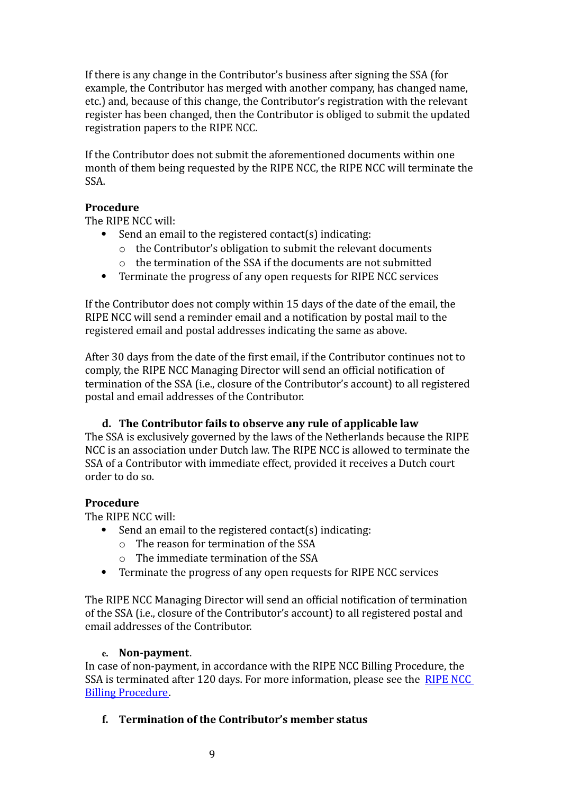If there is any change in the Contributor's business after signing the SSA (for example, the Contributor has merged with another company, has changed name, etc.) and, because of this change, the Contributor's registration with the relevant register has been changed, then the Contributor is obliged to submit the updated registration papers to the RIPE NCC.

If the Contributor does not submit the aforementioned documents within one month of them being requested by the RIPE NCC, the RIPE NCC will terminate the SSA.

# **Procedure**

The RIPE NCC will:

- Send an email to the registered contact(s) indicating:
	- o the Contributor's obligation to submit the relevant documents
	- o the termination of the SSA if the documents are not submitted
- Terminate the progress of any open requests for RIPE NCC services

If the Contributor does not comply within 15 days of the date of the email, the RIPE NCC will send a reminder email and a notification by postal mail to the registered email and postal addresses indicating the same as above.

After 30 days from the date of the first email, if the Contributor continues not to comply, the RIPE NCC Managing Director will send an official notification of termination of the SSA (i.e., closure of the Contributor's account) to all registered postal and email addresses of the Contributor.

### **d. The Contributor fails to observe any rule of applicable law**

The SSA is exclusively governed by the laws of the Netherlands because the RIPE NCC is an association under Dutch law. The RIPE NCC is allowed to terminate the SSA of a Contributor with immediate effect, provided it receives a Dutch court order to do so.

# **Procedure**

The RIPE NCC will:

- $\bullet$  Send an email to the registered contact(s) indicating:
	- o The reason for termination of the SSA
	- o The immediate termination of the SSA
- Terminate the progress of any open requests for RIPE NCC services

The RIPE NCC Managing Director will send an official notification of termination of the SSA (i.e., closure of the Contributor's account) to all registered postal and email addresses of the Contributor.

### **e.** Non-payment.

In case of non-payment, in accordance with the RIPE NCC Billing Procedure, the SSA is terminated after 120 days. For more information, please see the [RIPE](http://www.ripe.net/lir-services/billing/procedure) NCC Billing [Procedure.](http://www.ripe.net/lir-services/billing/procedure)

# **f. Termination of the Contributor's member status**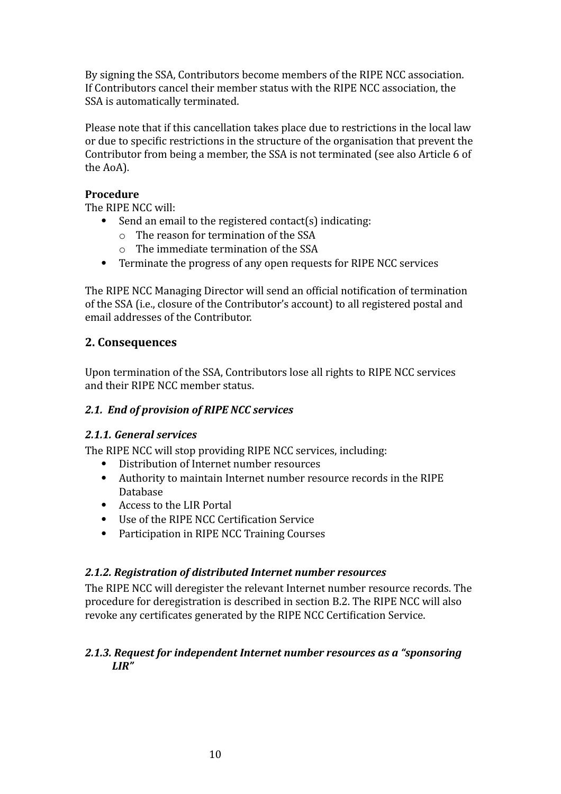By signing the SSA, Contributors become members of the RIPE NCC association. If Contributors cancel their member status with the RIPE NCC association, the SSA is automatically terminated.

Please note that if this cancellation takes place due to restrictions in the local law or due to speciiic restrictions in the structure of the organisation that prevent the Contributor from being a member, the SSA is not terminated (see also Article 6 of the AoA).

# **Procedure**

The RIPE NCC will:

- Send an email to the registered contact(s) indicating:
	- o The reason for termination of the SSA
	- o The immediate termination of the SSA
- Terminate the progress of any open requests for RIPE NCC services

The RIPE NCC Managing Director will send an official notification of termination of the SSA (i.e., closure of the Contributor's account) to all registered postal and email addresses of the Contributor.

# **2. Consequences**

Upon termination of the SSA, Contributors lose all rights to RIPE NCC services and their RIPE NCC member status.

# *2.1. End of provision of RIPE NCC services*

### <span id="page-9-0"></span>*2.1.1. General services*

The RIPE NCC will stop providing RIPE NCC services, including:

- Distribution of Internet number resources
- Authority to maintain Internet number resource records in the RIPE Database
- Access to the LIR Portal
- Use of the RIPE NCC Certification Service
- Participation in RIPE NCC Training Courses

### *2.1.2. Registration of distributed Internet number resources*

The RIPE NCC will deregister the relevant Internet number resource records. The procedure for deregistration is described in section B.2. The RIPE NCC will also revoke any certificates generated by the RIPE NCC Certification Service.

### *2.1.3. Request for independent Internet number resources as a "sponsoring LIR"*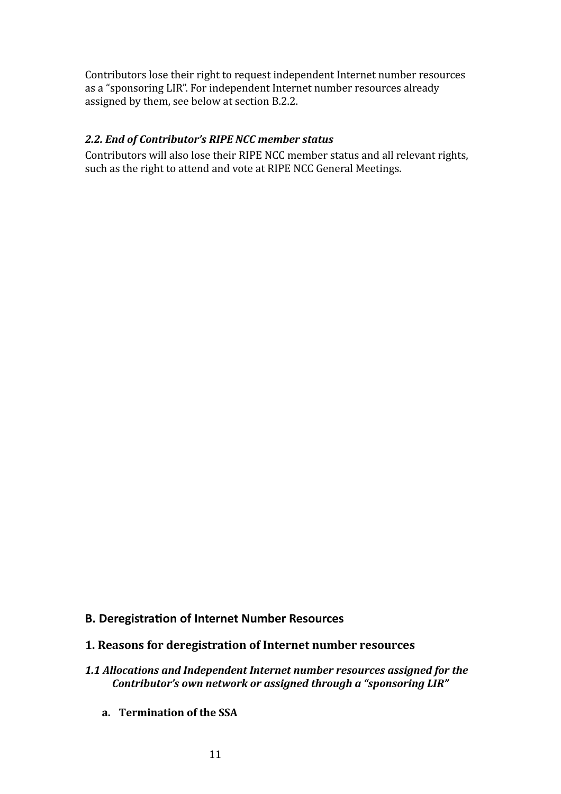Contributors lose their right to request independent Internet number resources as a "sponsoring LIR". For independent Internet number resources already assigned by them, see below at section B.2.2.

### *2.2. End of Contributor's RIPE NCC member status*

Contributors will also lose their RIPE NCC member status and all relevant rights, such as the right to attend and vote at RIPE NCC General Meetings.

### **B.** Deregistration of Internet Number Resources

- **1. Reasons for deregistration of Internet number resources**
- <span id="page-10-0"></span>*1.1 Allocations and Independent Internet number resources assigned for the Contributor's own network or assigned through a "sponsoring LIR"*
	- **a. Termination of the SSA**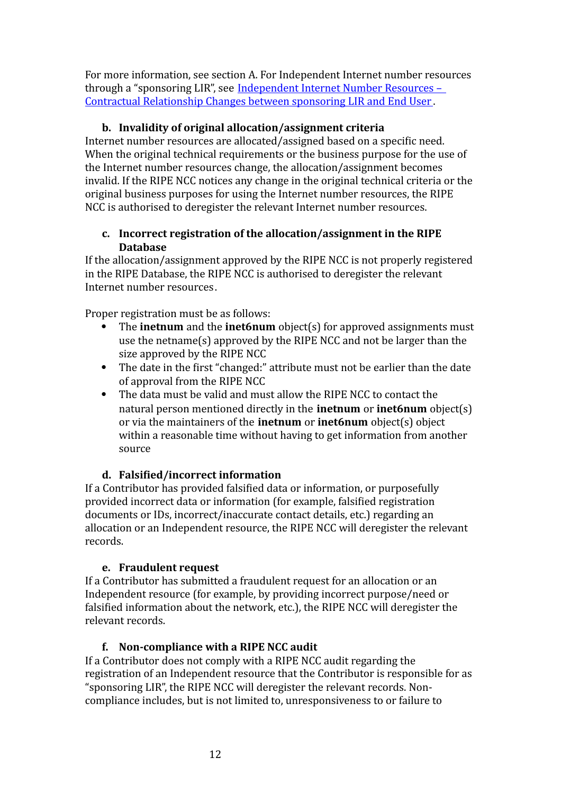For more information, see section A. For Independent Internet number resources through a "sponsoring LIR", see [Independent](http://www.ripe.net/ripe/docs/lir-end-user-contractual-changes%20) Internet Number Resources – Contractual [Relationship](http://www.ripe.net/ripe/docs/lir-end-user-contractual-changes%20) Changes between sponsoring LIR and End User .

### **b. Invalidity of original allocation/assignment criteria**

Internet number resources are allocated/assigned based on a specific need. When the original technical requirements or the business purpose for the use of the Internet number resources change, the allocation/assignment becomes invalid. If the RIPE NCC notices any change in the original technical criteria or the original business purposes for using the Internet number resources, the RIPE NCC is authorised to deregister the relevant Internet number resources.

# **c. Incorrect registration of the allocation/assignment in the RIPE Database**

If the allocation/assignment approved by the RIPE NCC is not properly registered in the RIPE Database, the RIPE NCC is authorised to deregister the relevant Internet number resources.

Proper registration must be as follows:

- The **inetnum** and the **inet6num** object(s) for approved assignments must use the netname(s) approved by the RIPE NCC and not be larger than the size approved by the RIPE NCC
- The date in the first "changed:" attribute must not be earlier than the date of approval from the RIPE NCC
- The data must be valid and must allow the RIPE NCC to contact the natural person mentioned directly in the **inetnum** or **inet6num** object(s) or via the maintainers of the **inetnum** or **inet6num** object(s) object within a reasonable time without having to get information from another source

# $d.$  **Falsified/incorrect information**

If a Contributor has provided falsified data or information, or purposefully provided incorrect data or information (for example, falsiiied registration documents or IDs, incorrect/inaccurate contact details, etc.) regarding an allocation or an Independent resource, the RIPE NCC will deregister the relevant records.

# **e. Fraudulent request**

If a Contributor has submitted a fraudulent request for an allocation or an Independent resource (for example, by providing incorrect purpose/need or falsified information about the network, etc.), the RIPE NCC will deregister the relevant records.

# **f. Noncompliance with a RIPE NCC audit**

If a Contributor does not comply with a RIPE NCC audit regarding the registration of an Independent resource that the Contributor is responsible for as "sponsoring LIR", the RIPE NCC will deregister the relevant records. Non‐ compliance includes, but is not limited to, unresponsiveness to or failure to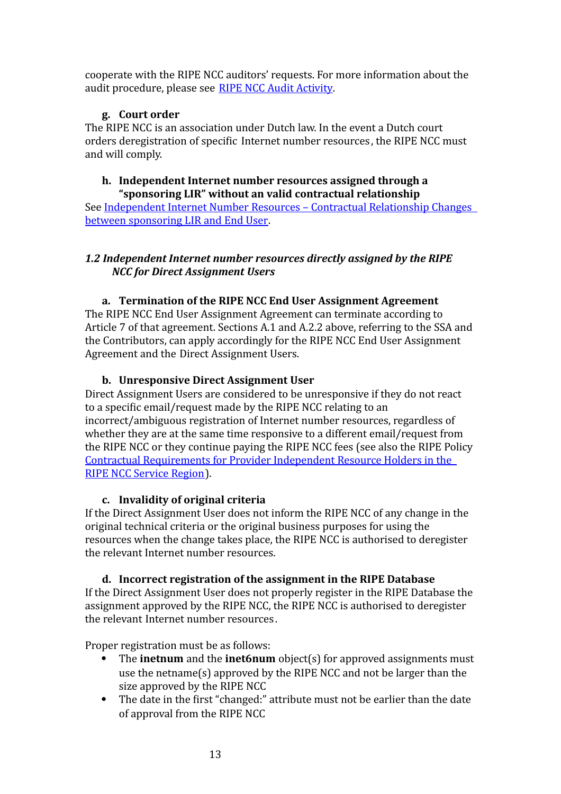cooperate with the RIPE NCC auditors' requests. For more information about the audit procedure, please see RIPE NCC Audit [Activity.](http://www.ripe.net/ripe/docs/audit)

# **g. Court order**

The RIPE NCC is an association under Dutch law. In the event a Dutch court orders deregistration of specific Internet number resources, the RIPE NCC must and will comply.

#### **h. Independent Internet number resources assigned through a "sponsoring LIR" without an valid contractual relationship**

See [Independent](http://www.ripe.net/ripe/docs/lir-end-user-contractual-changes) Internet Number Resources – Contractual Relationship Changes between [sponsoring](http://www.ripe.net/ripe/docs/lir-end-user-contractual-changes) LIR and End User.

# *1.2 Independent Internet number resources directly assigned by the RIPE NCC for Direct Assignment Users*

# **a. Termination of the RIPE NCC End User Assignment Agreement**

The RIPE NCC End User Assignment Agreement can terminate according to Article 7 of that agreement. Sections A.1 and A.2.2 above, referring to the SSA and the Contributors, can apply accordingly for the RIPE NCC End User Assignment Agreement and the Direct Assignment Users.

### **b. Unresponsive Direct Assignment User**

Direct Assignment Users are considered to be unresponsive if they do not react to a specific email/request made by the RIPE NCC relating to an incorrect/ambiguous registration of Internet number resources, regardless of whether they are at the same time responsive to a different email/request from the RIPE NCC or they continue paying the RIPE NCC fees (see also the RIPE Policy Contractual [Requirements](http://www.ripe.net/ripe/docs/contract-req) for Provider Independent Resource Holders in the RIPE NCC [Service](http://www.ripe.net/ripe/docs/contract-req) Region).

### **c. Invalidity of original criteria**

If the Direct Assignment User does not inform the RIPE NCC of any change in the original technical criteria or the original business purposes for using the resources when the change takes place, the RIPE NCC is authorised to deregister the relevant Internet number resources.

# **d. Incorrect registration of the assignment in the RIPE Database**

If the Direct Assignment User does not properly register in the RIPE Database the assignment approved by the RIPE NCC, the RIPE NCC is authorised to deregister the relevant Internet number resources .

Proper registration must be as follows:

- The **inetnum** and the **inet6num** object(s) for approved assignments must use the netname(s) approved by the RIPE NCC and not be larger than the size approved by the RIPE NCC
- The date in the first "changed:" attribute must not be earlier than the date of approval from the RIPE NCC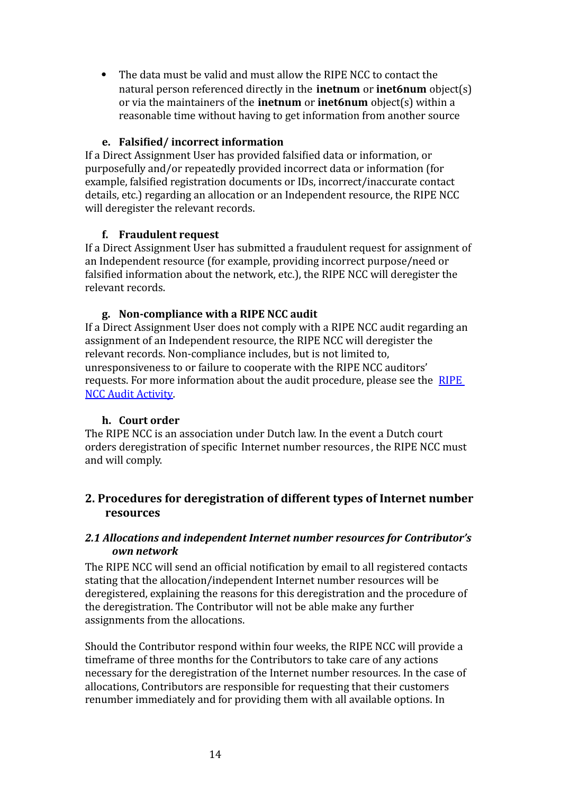The data must be valid and must allow the RIPE NCC to contact the natural person referenced directly in the **inetnum** or **inet6num** object(s) or via the maintainers of the **inetnum** or **inet6num** object(s) within a reasonable time without having to get information from another source

### **e.** Falsified/incorrect information

If a Direct Assignment User has provided falsified data or information, or purposefully and/or repeatedly provided incorrect data or information (for example, falsified registration documents or IDs, incorrect/inaccurate contact details, etc.) regarding an allocation or an Independent resource, the RIPE NCC will deregister the relevant records.

# **f. Fraudulent request**

If a Direct Assignment User has submitted a fraudulent request for assignment of an Independent resource (for example, providing incorrect purpose/need or falsified information about the network, etc.), the RIPE NCC will deregister the relevant records.

# **g. Noncompliance with a RIPE NCC audit**

If a Direct Assignment User does not comply with a RIPE NCC audit regarding an assignment of an Independent resource, the RIPE NCC will deregister the relevant records. Non‐compliance includes, but is not limited to, unresponsiveness to or failure to cooperate with the RIPE NCC auditors' requests. For more information about the audit procedure, please see the [RIPE](http://www.ripe.net/ripe/docs/audit) NCC Audit [Activity.](http://www.ripe.net/ripe/docs/audit)

### **h. Court order**

The RIPE NCC is an association under Dutch law. In the event a Dutch court orders deregistration of specific Internet number resources, the RIPE NCC must and will comply.

# **2. Procedures for deregistration of different types of Internet number resources**

# *2.1 Allocations and independent Internet number resources for Contributor's own network*

The RIPE NCC will send an official notification by email to all registered contacts stating that the allocation/independent Internet number resources will be deregistered, explaining the reasons for this deregistration and the procedure of the deregistration. The Contributor will not be able make any further assignments from the allocations.

Should the Contributor respond within four weeks, the RIPE NCC will provide a timeframe of three months for the Contributors to take care of any actions necessary for the deregistration of the Internet number resources. In the case of allocations, Contributors are responsible for requesting that their customers renumber immediately and for providing them with all available options. In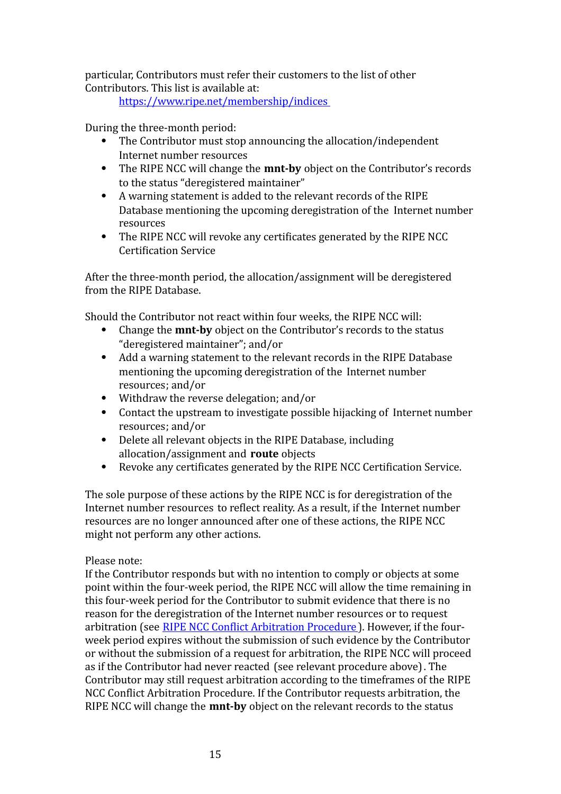particular, Contributors must refer their customers to the list of other Contributors. This list is available at:

<https://www.ripe.net/membership/indices>

During the three‐month period:

- The Contributor must stop announcing the allocation/independent Internet number resources
- The RIPE NCC will change the **mnt-by** object on the Contributor's records to the status "deregistered maintainer"
- A warning statement is added to the relevant records of the RIPE Database mentioning the upcoming deregistration of the Internet number resources
- The RIPE NCC will revoke any certificates generated by the RIPE NCC **Certification Service**

After the three‐month period, the allocation/assignment will be deregistered from the RIPE Database.

Should the Contributor not react within four weeks, the RIPE NCC will:

- Change the **mnt-by** object on the Contributor's records to the status "deregistered maintainer"; and/or
- Add a warning statement to the relevant records in the RIPE Database mentioning the upcoming deregistration of the Internet number resources; and/or
- Withdraw the reverse delegation; and/or
- Contact the upstream to investigate possible hijacking of Internet number resources; and/or
- Delete all relevant objects in the RIPE Database, including allocation/assignment and **route** objects
- Revoke any certificates generated by the RIPE NCC Certification Service.

The sole purpose of these actions by the RIPE NCC is for deregistration of the Internet number resources to reilect reality. As a result, if the Internet number resources are no longer announced after one of these actions, the RIPE NCC might not perform any other actions.

### Please note:

If the Contributor responds but with no intention to comply or objects at some point within the four‐week period, the RIPE NCC will allow the time remaining in this four‐week period for the Contributor to submit evidence that there is no reason for the deregistration of the Internet number resources or to request arbitration (see RIPE NCC Conflict [Arbitration](https://www.ripe.net/ripe/docs/arbitration%20) Procedure). However, if the fourweek period expires without the submission of such evidence by the Contributor or without the submission of a request for arbitration, the RIPE NCC will proceed as if the Contributor had never reacted (see relevant procedure above). The Contributor may still request arbitration according to the timeframes of the RIPE NCC Conflict Arbitration Procedure. If the Contributor requests arbitration, the RIPE NCC will change the **mnt-by** object on the relevant records to the status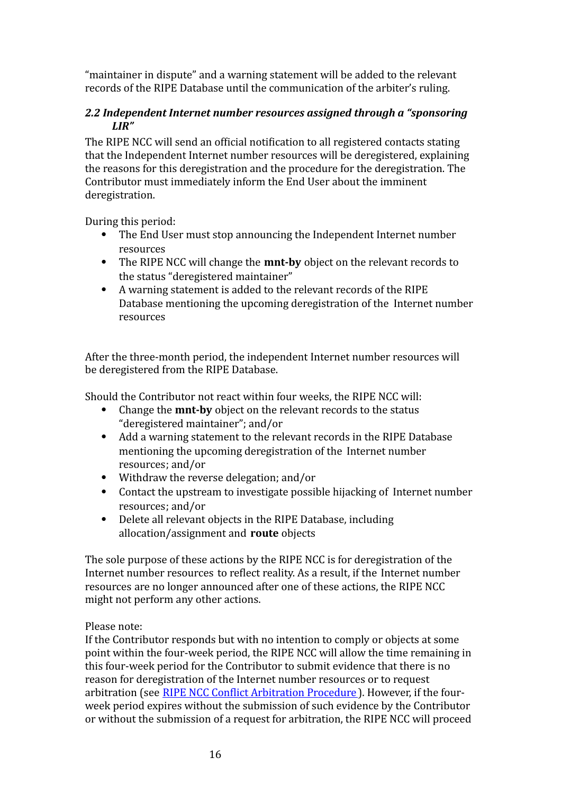"maintainer in dispute" and a warning statement will be added to the relevant records of the RIPE Database until the communication of the arbiter's ruling.

# <span id="page-15-0"></span>*2.2 Independent Internet number resources assigned through a "sponsoring LIR"*

The RIPE NCC will send an official notification to all registered contacts stating that the Independent Internet number resources will be deregistered, explaining the reasons for this deregistration and the procedure for the deregistration. The Contributor must immediately inform the End User about the imminent deregistration.

During this period:

- The End User must stop announcing the Independent Internet number resources
- The RIPE NCC will change the **mnt-by** object on the relevant records to the status "deregistered maintainer"
- A warning statement is added to the relevant records of the RIPE Database mentioning the upcoming deregistration of the Internet number resources

After the three‐month period, the independent Internet number resources will be deregistered from the RIPE Database.

Should the Contributor not react within four weeks, the RIPE NCC will:

- Change the **mnt-by** object on the relevant records to the status "deregistered maintainer"; and/or
- Add a warning statement to the relevant records in the RIPE Database mentioning the upcoming deregistration of the Internet number resources; and/or
- Withdraw the reverse delegation; and/or
- Contact the upstream to investigate possible hijacking of Internet number resources; and/or
- Delete all relevant objects in the RIPE Database, including allocation/assignment and **route** objects

The sole purpose of these actions by the RIPE NCC is for deregistration of the Internet number resources to reilect reality. As a result, if the Internet number resources are no longer announced after one of these actions, the RIPE NCC might not perform any other actions.

Please note:

If the Contributor responds but with no intention to comply or objects at some point within the four-week period, the RIPE NCC will allow the time remaining in this four‐week period for the Contributor to submit evidence that there is no reason for deregistration of the Internet number resources or to request arbitration (see RIPE NCC Conflict [Arbitration](https://www.ripe.net/ripe/docs/arbitration) Procedure). However, if the fourweek period expires without the submission of such evidence by the Contributor or without the submission of a request for arbitration, the RIPE NCC will proceed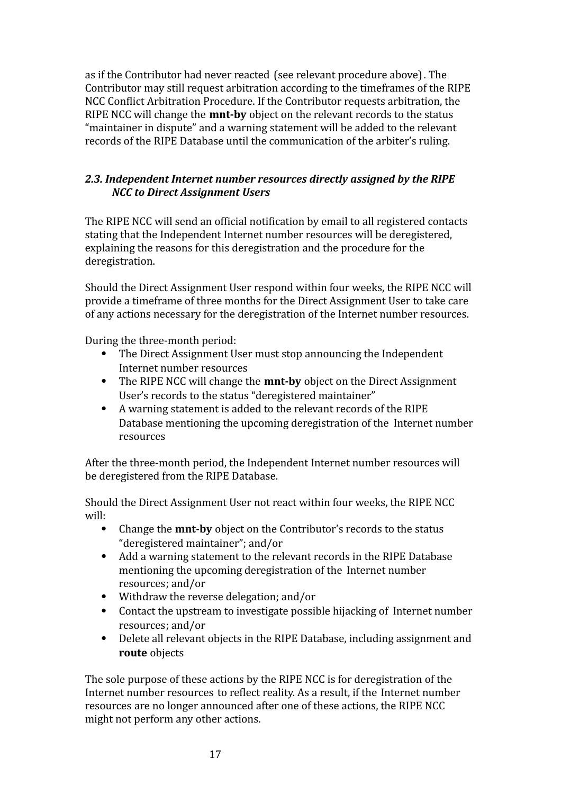as if the Contributor had never reacted (see relevant procedure above). The Contributor may still request arbitration according to the timeframes of the RIPE NCC Conflict Arbitration Procedure. If the Contributor requests arbitration, the RIPE NCC will change the **mnt-by** object on the relevant records to the status "maintainer in dispute" and a warning statement will be added to the relevant records of the RIPE Database until the communication of the arbiter's ruling.

# *2.3. Independent Internet number resources directly assigned by the RIPE NCC to Direct Assignment Users*

The RIPE NCC will send an official notification by email to all registered contacts stating that the Independent Internet number resources will be deregistered, explaining the reasons for this deregistration and the procedure for the deregistration.

Should the Direct Assignment User respond within four weeks, the RIPE NCC will provide a timeframe of three months for the Direct Assignment User to take care of any actions necessary for the deregistration of the Internet number resources.

During the three‐month period:

- The Direct Assignment User must stop announcing the Independent Internet number resources
- The RIPE NCC will change the **mnt-by** object on the Direct Assignment User's records to the status "deregistered maintainer"
- A warning statement is added to the relevant records of the RIPE Database mentioning the upcoming deregistration of the Internet number resources

After the three‐month period, the Independent Internet number resources will be deregistered from the RIPE Database.

Should the Direct Assignment User not react within four weeks, the RIPE NCC will:

- Change the **mnt-by** object on the Contributor's records to the status "deregistered maintainer"; and/or
- Add a warning statement to the relevant records in the RIPE Database mentioning the upcoming deregistration of the Internet number resources; and/or
- Withdraw the reverse delegation; and/or
- Contact the upstream to investigate possible hijacking of Internet number resources; and/or
- Delete all relevant objects in the RIPE Database, including assignment and **route** objects

The sole purpose of these actions by the RIPE NCC is for deregistration of the Internet number resources to reilect reality. As a result, if the Internet number resources are no longer announced after one of these actions, the RIPE NCC might not perform any other actions.